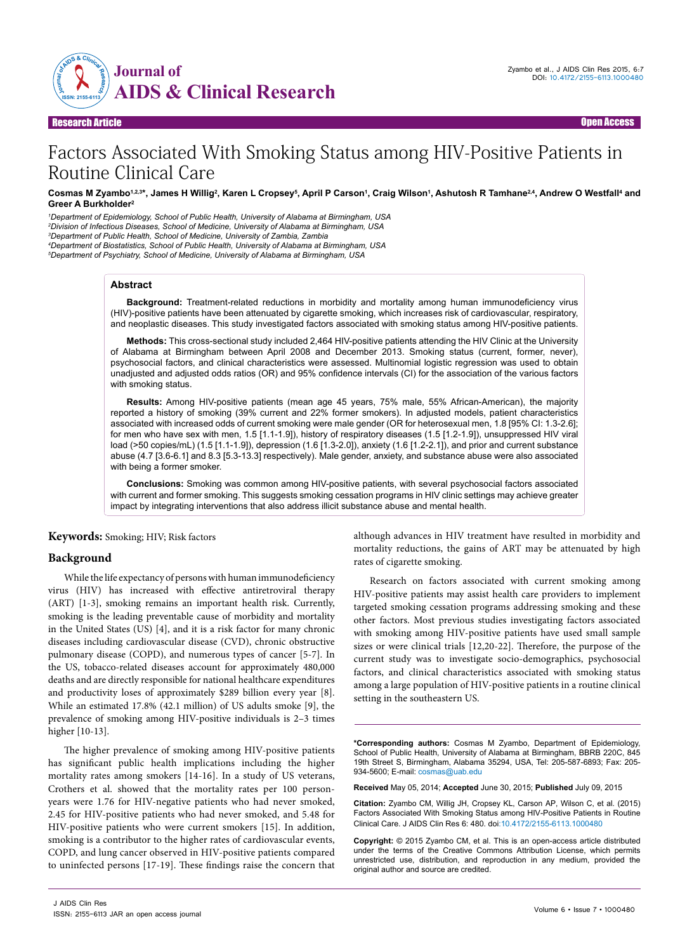

#### Research Article Open Access

# Factors Associated With Smoking Status among HIV-Positive Patients in Routine Clinical Care

#### Cosmas M Zyambo1.2.3\*, James H Willig<sup>2</sup>, Karen L Cropsey<sup>s</sup>, April P Carson', Craig Wilson', Ashutosh R Tamhane<sup>2,4</sup>, Andrew O Westfall<sup>4</sup> and **Greer A Burkholder2**

 *Department of Epidemiology, School of Public Health, University of Alabama at Birmingham, USA Division of Infectious Diseases, School of Medicine, University of Alabama at Birmingham, USA Department of Public Health, School of Medicine, University of Zambia, Zambia Department of Biostatistics, School of Public Health, University of Alabama at Birmingham, USA Department of Psychiatry, School of Medicine, University of Alabama at Birmingham, USA*

#### **Abstract**

**Background:** Treatment-related reductions in morbidity and mortality among human immunodeficiency virus (HIV)-positive patients have been attenuated by cigarette smoking, which increases risk of cardiovascular, respiratory, and neoplastic diseases. This study investigated factors associated with smoking status among HIV-positive patients.

**Methods:** This cross-sectional study included 2,464 HIV-positive patients attending the HIV Clinic at the University of Alabama at Birmingham between April 2008 and December 2013. Smoking status (current, former, never), psychosocial factors, and clinical characteristics were assessed. Multinomial logistic regression was used to obtain unadjusted and adjusted odds ratios (OR) and 95% confidence intervals (CI) for the association of the various factors with smoking status.

**Results:** Among HIV-positive patients (mean age 45 years, 75% male, 55% African-American), the majority reported a history of smoking (39% current and 22% former smokers). In adjusted models, patient characteristics associated with increased odds of current smoking were male gender (OR for heterosexual men, 1.8 [95% CI: 1.3-2.6]; for men who have sex with men, 1.5 [1.1-1.9]), history of respiratory diseases (1.5 [1.2-1.9]), unsuppressed HIV viral load (>50 copies/mL) (1.5 [1.1-1.9]), depression (1.6 [1.3-2.0]), anxiety (1.6 [1.2-2.1]), and prior and current substance abuse (4.7 [3.6-6.1] and 8.3 [5.3-13.3] respectively). Male gender, anxiety, and substance abuse were also associated with being a former smoker.

**Conclusions:** Smoking was common among HIV-positive patients, with several psychosocial factors associated with current and former smoking. This suggests smoking cessation programs in HIV clinic settings may achieve greater impact by integrating interventions that also address illicit substance abuse and mental health.

# **Keywords:** Smoking; HIV; Risk factors

## **Background**

While the life expectancy of persons with human immunodeficiency virus (HIV) has increased with effective antiretroviral therapy (ART) [1-3], smoking remains an important health risk. Currently, smoking is the leading preventable cause of morbidity and mortality in the United States (US) [4], and it is a risk factor for many chronic diseases including cardiovascular disease (CVD), chronic obstructive pulmonary disease (COPD), and numerous types of cancer [5-7]. In the US, tobacco-related diseases account for approximately 480,000 deaths and are directly responsible for national healthcare expenditures and productivity loses of approximately \$289 billion every year [8]. While an estimated 17.8% (42.1 million) of US adults smoke [9], the prevalence of smoking among HIV-positive individuals is 2–3 times higher [10-13].

The higher prevalence of smoking among HIV-positive patients has significant public health implications including the higher mortality rates among smokers [14-16]. In a study of US veterans, Crothers et al. showed that the mortality rates per 100 personyears were 1.76 for HIV-negative patients who had never smoked, 2.45 for HIV-positive patients who had never smoked, and 5.48 for HIV-positive patients who were current smokers [15]. In addition, smoking is a contributor to the higher rates of cardiovascular events, COPD, and lung cancer observed in HIV-positive patients compared to uninfected persons [17-19]. These findings raise the concern that although advances in HIV treatment have resulted in morbidity and mortality reductions, the gains of ART may be attenuated by high rates of cigarette smoking.

Research on factors associated with current smoking among HIV-positive patients may assist health care providers to implement targeted smoking cessation programs addressing smoking and these other factors. Most previous studies investigating factors associated with smoking among HIV-positive patients have used small sample sizes or were clinical trials [12,20-22]. Therefore, the purpose of the current study was to investigate socio-demographics, psychosocial factors, and clinical characteristics associated with smoking status among a large population of HIV-positive patients in a routine clinical setting in the southeastern US.

**\*Corresponding authors:** Cosmas M Zyambo, Department of Epidemiology, School of Public Health, University of Alabama at Birmingham, BBRB 220C, 845 19th Street S, Birmingham, Alabama 35294, USA, Tel: 205-587-6893; Fax: 205- 934-5600; E-mail: cosmas@uab.edu

**Received** May 05, 2014; **Accepted** June 30, 2015; **Published** July 09, 2015

**Citation:** Zyambo CM, Willig JH, Cropsey KL, Carson AP, Wilson C, et al. (2015) Factors Associated With Smoking Status among HIV-Positive Patients in Routine Clinical Care. J AIDS Clin Res 6: 480. doi:10.4172/2155-6113.1000480

**Copyright:** © 2015 Zyambo CM, et al. This is an open-access article distributed under the terms of the Creative Commons Attribution License, which permits unrestricted use, distribution, and reproduction in any medium, provided the original author and source are credited.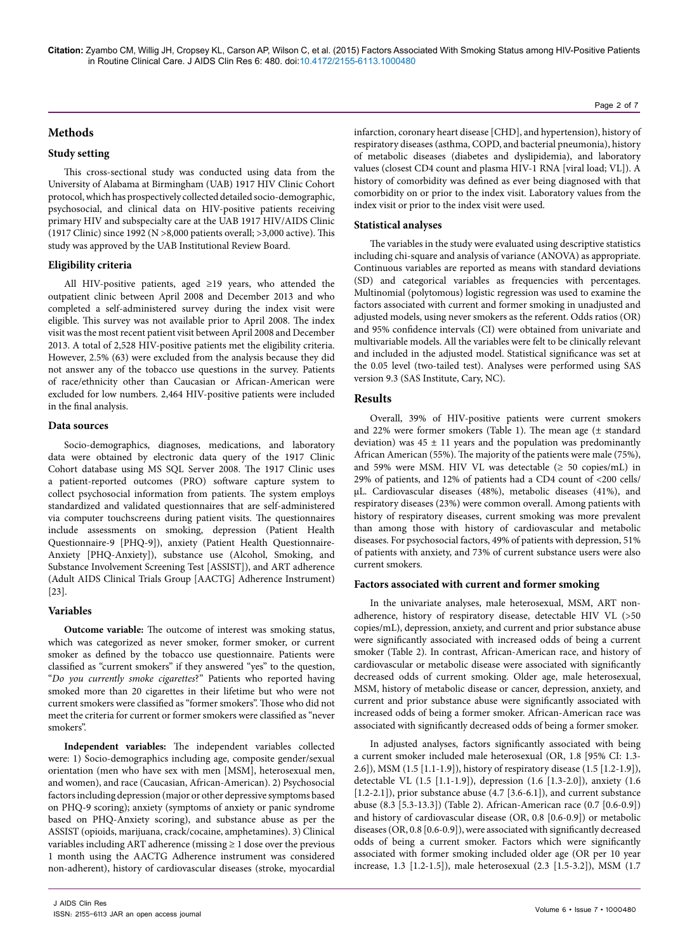**Citation:** Zyambo CM, Willig JH, Cropsey KL, Carson AP, Wilson C, et al. (2015) Factors Associated With Smoking Status among HIV-Positive Patients in Routine Clinical Care. J AIDS Clin Res 6: 480. doi:10.4172/2155-6113.1000480

# **Methods**

## **Study setting**

This cross-sectional study was conducted using data from the University of Alabama at Birmingham (UAB) 1917 HIV Clinic Cohort protocol, which has prospectively collected detailed socio-demographic, psychosocial, and clinical data on HIV-positive patients receiving primary HIV and subspecialty care at the UAB 1917 HIV/AIDS Clinic (1917 Clinic) since 1992 (N >8,000 patients overall; >3,000 active). This study was approved by the UAB Institutional Review Board.

### **Eligibility criteria**

All HIV-positive patients, aged ≥19 years, who attended the outpatient clinic between April 2008 and December 2013 and who completed a self-administered survey during the index visit were eligible. This survey was not available prior to April 2008. The index visit was the most recent patient visit between April 2008 and December 2013. A total of 2,528 HIV-positive patients met the eligibility criteria. However, 2.5% (63) were excluded from the analysis because they did not answer any of the tobacco use questions in the survey. Patients of race/ethnicity other than Caucasian or African-American were excluded for low numbers. 2,464 HIV-positive patients were included in the final analysis.

## **Data sources**

Socio-demographics, diagnoses, medications, and laboratory data were obtained by electronic data query of the 1917 Clinic Cohort database using MS SQL Server 2008. The 1917 Clinic uses a patient-reported outcomes (PRO) software capture system to collect psychosocial information from patients. The system employs standardized and validated questionnaires that are self-administered via computer touchscreens during patient visits. The questionnaires include assessments on smoking, depression (Patient Health Questionnaire-9 [PHQ-9]), anxiety (Patient Health Questionnaire-Anxiety [PHQ-Anxiety]), substance use (Alcohol, Smoking, and Substance Involvement Screening Test [ASSIST]), and ART adherence (Adult AIDS Clinical Trials Group [AACTG] Adherence Instrument) [23].

## **Variables**

**Outcome variable:** The outcome of interest was smoking status, which was categorized as never smoker, former smoker, or current smoker as defined by the tobacco use questionnaire. Patients were classified as "current smokers" if they answered "yes" to the question, "*Do you currently smoke cigarettes*?" Patients who reported having smoked more than 20 cigarettes in their lifetime but who were not current smokers were classified as "former smokers". Those who did not meet the criteria for current or former smokers were classified as "never smokers".

**Independent variables:** The independent variables collected were: 1) Socio-demographics including age, composite gender/sexual orientation (men who have sex with men [MSM], heterosexual men, and women), and race (Caucasian, African-American). 2) Psychosocial factors including depression (major or other depressive symptoms based on PHQ-9 scoring); anxiety (symptoms of anxiety or panic syndrome based on PHQ-Anxiety scoring), and substance abuse as per the ASSIST (opioids, marijuana, crack/cocaine, amphetamines). 3) Clinical variables including ART adherence (missing  $\geq 1$  dose over the previous 1 month using the AACTG Adherence instrument was considered non-adherent), history of cardiovascular diseases (stroke, myocardial infarction, coronary heart disease [CHD], and hypertension), history of respiratory diseases (asthma, COPD, and bacterial pneumonia), history of metabolic diseases (diabetes and dyslipidemia), and laboratory values (closest CD4 count and plasma HIV-1 RNA [viral load; VL]). A history of comorbidity was defined as ever being diagnosed with that comorbidity on or prior to the index visit. Laboratory values from the index visit or prior to the index visit were used.

## **Statistical analyses**

The variables in the study were evaluated using descriptive statistics including chi-square and analysis of variance (ANOVA) as appropriate. Continuous variables are reported as means with standard deviations (SD) and categorical variables as frequencies with percentages. Multinomial (polytomous) logistic regression was used to examine the factors associated with current and former smoking in unadjusted and adjusted models, using never smokers as the referent. Odds ratios (OR) and 95% confidence intervals (CI) were obtained from univariate and multivariable models. All the variables were felt to be clinically relevant and included in the adjusted model. Statistical significance was set at the 0.05 level (two-tailed test). Analyses were performed using SAS version 9.3 (SAS Institute, Cary, NC).

## **Results**

Overall, 39% of HIV-positive patients were current smokers and 22% were former smokers (Table 1). The mean age (± standard deviation) was  $45 \pm 11$  years and the population was predominantly African American (55%). The majority of the patients were male (75%), and 59% were MSM. HIV VL was detectable  $( \geq 50 \text{ copies/mL})$  in 29% of patients, and 12% of patients had a CD4 count of <200 cells/ µL. Cardiovascular diseases (48%), metabolic diseases (41%), and respiratory diseases (23%) were common overall. Among patients with history of respiratory diseases, current smoking was more prevalent than among those with history of cardiovascular and metabolic diseases. For psychosocial factors, 49% of patients with depression, 51% of patients with anxiety, and 73% of current substance users were also current smokers.

#### **Factors associated with current and former smoking**

In the univariate analyses, male heterosexual, MSM, ART nonadherence, history of respiratory disease, detectable HIV VL (>50 copies/mL), depression, anxiety, and current and prior substance abuse were significantly associated with increased odds of being a current smoker (Table 2). In contrast, African-American race, and history of cardiovascular or metabolic disease were associated with significantly decreased odds of current smoking. Older age, male heterosexual, MSM, history of metabolic disease or cancer, depression, anxiety, and current and prior substance abuse were significantly associated with increased odds of being a former smoker. African-American race was associated with significantly decreased odds of being a former smoker.

In adjusted analyses, factors significantly associated with being a current smoker included male heterosexual (OR, 1.8 [95% CI: 1.3- 2.6]), MSM (1.5 [1.1-1.9]), history of respiratory disease (1.5 [1.2-1.9]), detectable VL (1.5 [1.1-1.9]), depression (1.6 [1.3-2.0]), anxiety (1.6  $[1.2-2.1]$ , prior substance abuse  $(4.7 [3.6-6.1])$ , and current substance abuse (8.3 [5.3-13.3]) (Table 2). African-American race (0.7 [0.6-0.9]) and history of cardiovascular disease (OR, 0.8 [0.6-0.9]) or metabolic diseases (OR, 0.8 [0.6-0.9]), were associated with significantly decreased odds of being a current smoker. Factors which were significantly associated with former smoking included older age (OR per 10 year increase, 1.3 [1.2-1.5]), male heterosexual (2.3 [1.5-3.2]), MSM (1.7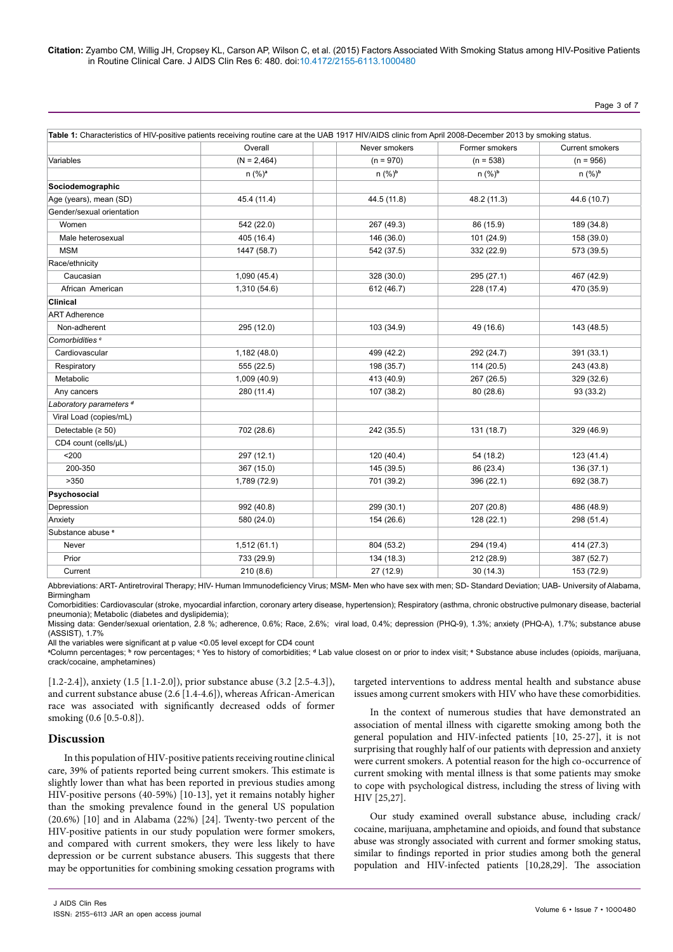## Page 3 of 7

|                                    | Overall            | Never smokers      | Former smokers     | Current smokers    |
|------------------------------------|--------------------|--------------------|--------------------|--------------------|
| Variables                          | $(N = 2,464)$      | $(n = 970)$        | $(n = 538)$        | $(n = 956)$        |
|                                    | n (%) <sup>a</sup> | n (%) <sup>b</sup> | n (%) <sup>b</sup> | n (%) <sup>b</sup> |
| Sociodemographic                   |                    |                    |                    |                    |
| Age (years), mean (SD)             | 45.4 (11.4)        | 44.5 (11.8)        | 48.2 (11.3)        | 44.6 (10.7)        |
| Gender/sexual orientation          |                    |                    |                    |                    |
| Women                              | 542 (22.0)         | 267 (49.3)         | 86 (15.9)          | 189 (34.8)         |
| Male heterosexual                  | 405 (16.4)         | 146 (36.0)         | 101 (24.9)         | 158 (39.0)         |
| <b>MSM</b>                         | 1447 (58.7)        | 542 (37.5)         | 332 (22.9)         | 573 (39.5)         |
| Race/ethnicity                     |                    |                    |                    |                    |
| Caucasian                          | 1,090(45.4)        | 328 (30.0)         | 295 (27.1)         | 467 (42.9)         |
| African American                   | 1,310 (54.6)       | 612 (46.7)         | 228 (17.4)         | 470 (35.9)         |
| <b>Clinical</b>                    |                    |                    |                    |                    |
| <b>ART Adherence</b>               |                    |                    |                    |                    |
| Non-adherent                       | 295 (12.0)         | 103 (34.9)         | 49 (16.6)          | 143 (48.5)         |
| Comorbidities <sup>c</sup>         |                    |                    |                    |                    |
| Cardiovascular                     | 1,182 (48.0)       | 499 (42.2)         | 292 (24.7)         | 391 (33.1)         |
| Respiratory                        | 555 (22.5)         | 198 (35.7)         | 114(20.5)          | 243 (43.8)         |
| Metabolic                          | 1,009 (40.9)       | 413 (40.9)         | 267 (26.5)         | 329 (32.6)         |
| Any cancers                        | 280 (11.4)         | 107 (38.2)         | 80 (28.6)          | 93 (33.2)          |
| Laboratory parameters <sup>d</sup> |                    |                    |                    |                    |
| Viral Load (copies/mL)             |                    |                    |                    |                    |
| Detectable $(≥ 50)$                | 702 (28.6)         | 242 (35.5)         | 131 (18.7)         | 329 (46.9)         |
| CD4 count (cells/uL)               |                    |                    |                    |                    |
| $200$                              | 297 (12.1)         | 120 (40.4)         | 54 (18.2)          | 123 (41.4)         |
| 200-350                            | 367 (15.0)         | 145 (39.5)         | 86 (23.4)          | 136 (37.1)         |
| >350                               | 1,789 (72.9)       | 701 (39.2)         | 396 (22.1)         | 692 (38.7)         |
| Psychosocial                       |                    |                    |                    |                    |
| Depression                         | 992 (40.8)         | 299 (30.1)         | 207 (20.8)         | 486 (48.9)         |
| Anxiety                            | 580 (24.0)         | 154 (26.6)         | 128 (22.1)         | 298 (51.4)         |
| Substance abuse <sup>®</sup>       |                    |                    |                    |                    |
| Never                              | 1,512(61.1)        | 804 (53.2)         | 294 (19.4)         | 414 (27.3)         |
| Prior                              | 733 (29.9)         | 134 (18.3)         | 212 (28.9)         | 387 (52.7)         |
| Current                            | 210(8.6)           | 27 (12.9)          | 30(14.3)           | 153 (72.9)         |

Abbreviations: ART- Antiretroviral Therapy; HIV- Human Immunodeficiency Virus; MSM- Men who have sex with men; SD- Standard Deviation; UAB- University of Alabama, Birmingham

Comorbidities: Cardiovascular (stroke, myocardial infarction, coronary artery disease, hypertension); Respiratory (asthma, chronic obstructive pulmonary disease, bacterial pneumonia); Metabolic (diabetes and dyslipidemia);

Missing data: Gender/sexual orientation, 2.8 %; adherence, 0.6%; Race, 2.6%; viral load, 0.4%; depression (PHQ-9), 1.3%; anxiety (PHQ-A), 1.7%; substance abuse (ASSIST), 1.7%

All the variables were significant at p value <0.05 level except for CD4 count

**a** Column percentages; **<sup>b</sup>** row percentages; **<sup>c</sup>** Yes to history of comorbidities; **<sup>d</sup>** Lab value closest on or prior to index visit; **<sup>e</sup>** Substance abuse includes (opioids, marijuana, crack/cocaine, amphetamines)

[1.2-2.4]), anxiety (1.5 [1.1-2.0]), prior substance abuse (3.2 [2.5-4.3]), and current substance abuse (2.6 [1.4-4.6]), whereas African-American race was associated with significantly decreased odds of former smoking (0.6 [0.5-0.8]).

# **Discussion**

In this population of HIV-positive patients receiving routine clinical care, 39% of patients reported being current smokers. This estimate is slightly lower than what has been reported in previous studies among HIV-positive persons (40-59%) [10-13], yet it remains notably higher than the smoking prevalence found in the general US population (20.6%) [10] and in Alabama (22%) [24]. Twenty-two percent of the HIV-positive patients in our study population were former smokers, and compared with current smokers, they were less likely to have depression or be current substance abusers. This suggests that there may be opportunities for combining smoking cessation programs with targeted interventions to address mental health and substance abuse issues among current smokers with HIV who have these comorbidities.

In the context of numerous studies that have demonstrated an association of mental illness with cigarette smoking among both the general population and HIV-infected patients [10, 25-27], it is not surprising that roughly half of our patients with depression and anxiety were current smokers. A potential reason for the high co-occurrence of current smoking with mental illness is that some patients may smoke to cope with psychological distress, including the stress of living with HIV [25,27].

Our study examined overall substance abuse, including crack/ cocaine, marijuana, amphetamine and opioids, and found that substance abuse was strongly associated with current and former smoking status, similar to findings reported in prior studies among both the general population and HIV-infected patients [10,28,29]. The association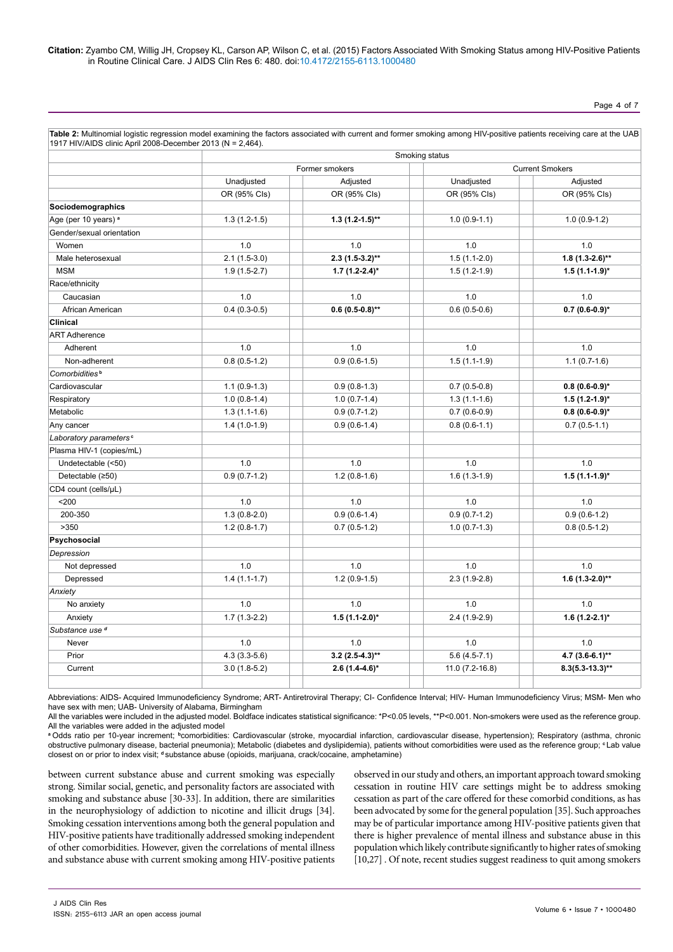Page 4 of 7

|                                    | 1917 HIV/AIDS clinic April 2008-December 2013 (N = 2,464). |                    |                        |                    |  |  |  |
|------------------------------------|------------------------------------------------------------|--------------------|------------------------|--------------------|--|--|--|
|                                    | Smoking status                                             |                    |                        |                    |  |  |  |
|                                    | Former smokers                                             |                    | <b>Current Smokers</b> |                    |  |  |  |
|                                    | Unadjusted                                                 | Adjusted           | Unadjusted             | Adjusted           |  |  |  |
|                                    | OR (95% Cls)                                               | OR (95% Cls)       | OR (95% Cls)           | OR (95% Cls)       |  |  |  |
| Sociodemographics                  |                                                            |                    |                        |                    |  |  |  |
| Age (per 10 years) <sup>a</sup>    | $1.3(1.2-1.5)$                                             | $1.3(1.2-1.5)$ **  | $1.0(0.9-1.1)$         | $1.0(0.9-1.2)$     |  |  |  |
| Gender/sexual orientation          |                                                            |                    |                        |                    |  |  |  |
| Women                              | 1.0                                                        | 1.0                | 1.0                    | 1.0                |  |  |  |
| Male heterosexual                  | $2.1(1.5-3.0)$                                             | $2.3$ (1.5-3.2)**  | $1.5(1.1-2.0)$         | $1.8(1.3-2.6)$ **  |  |  |  |
| <b>MSM</b>                         | $1.9(1.5-2.7)$                                             | $1.7(1.2-2.4)^{*}$ | $1.5(1.2-1.9)$         | $1.5(1.1-1.9)^{*}$ |  |  |  |
| Race/ethnicity                     |                                                            |                    |                        |                    |  |  |  |
| Caucasian                          | 1.0                                                        | 1.0                | 1.0                    | 1.0                |  |  |  |
| African American                   | $0.4(0.3-0.5)$                                             | $0.6(0.5-0.8)$ **  | $0.6(0.5-0.6)$         | $0.7(0.6-0.9)$ *   |  |  |  |
| <b>Clinical</b>                    |                                                            |                    |                        |                    |  |  |  |
| <b>ART Adherence</b>               |                                                            |                    |                        |                    |  |  |  |
| Adherent                           | 1.0                                                        | 1.0                | 1.0                    | 1.0                |  |  |  |
| Non-adherent                       | $0.8(0.5-1.2)$                                             | $0.9(0.6-1.5)$     | $1.5(1.1-1.9)$         | $1.1(0.7-1.6)$     |  |  |  |
| Comorbidities <sup>b</sup>         |                                                            |                    |                        |                    |  |  |  |
| Cardiovascular                     | $1.1(0.9-1.3)$                                             | $0.9(0.8-1.3)$     | $0.7(0.5-0.8)$         | $0.8(0.6-0.9)$ *   |  |  |  |
| Respiratory                        | $1.0(0.8-1.4)$                                             | $1.0(0.7-1.4)$     | $1.3(1.1-1.6)$         | $1.5(1.2-1.9)$ *   |  |  |  |
| Metabolic                          | $1.3(1.1-1.6)$                                             | $0.9(0.7-1.2)$     | $0.7(0.6-0.9)$         | $0.8(0.6-0.9)$ *   |  |  |  |
| Any cancer                         | $1.4(1.0-1.9)$                                             | $0.9(0.6-1.4)$     | $0.8(0.6-1.1)$         | $0.7(0.5-1.1)$     |  |  |  |
| Laboratory parameters <sup>c</sup> |                                                            |                    |                        |                    |  |  |  |
| Plasma HIV-1 (copies/mL)           |                                                            |                    |                        |                    |  |  |  |
| Undetectable (<50)                 | 1.0                                                        | 1.0                | 1.0                    | 1.0                |  |  |  |
| Detectable (≥50)                   | $0.9(0.7-1.2)$                                             | $1.2(0.8-1.6)$     | $1.6(1.3-1.9)$         | $1.5(1.1-1.9)^{*}$ |  |  |  |
| CD4 count (cells/µL)               |                                                            |                    |                        |                    |  |  |  |
| $200$                              | 1.0                                                        | 1.0                | 1.0                    | 1.0                |  |  |  |
| 200-350                            | $1.3(0.8-2.0)$                                             | $0.9(0.6-1.4)$     | $0.9(0.7-1.2)$         | $0.9(0.6-1.2)$     |  |  |  |
| >350                               | $1.2(0.8-1.7)$                                             | $0.7(0.5-1.2)$     | $1.0(0.7-1.3)$         | $0.8(0.5-1.2)$     |  |  |  |
| Psychosocial                       |                                                            |                    |                        |                    |  |  |  |
| Depression                         |                                                            |                    |                        |                    |  |  |  |
| Not depressed                      | 1.0                                                        | 1.0                | 1.0                    | 1.0                |  |  |  |
| Depressed                          | $1.4(1.1-1.7)$                                             | $1.2(0.9-1.5)$     | $2.3(1.9-2.8)$         | $1.6$ (1.3-2.0)**  |  |  |  |
| Anxiety                            |                                                            |                    |                        |                    |  |  |  |
| No anxiety                         | 1.0                                                        | 1.0                | 1.0                    | 1.0                |  |  |  |
| Anxiety                            | $1.7(1.3-2.2)$                                             | $1.5(1.1-2.0)$ *   | $2.4(1.9-2.9)$         | $1.6(1.2-2.1)^{*}$ |  |  |  |
| Substance use <sup>d</sup>         |                                                            |                    |                        |                    |  |  |  |
| Never                              | 1.0                                                        | 1.0                | 1.0                    | 1.0                |  |  |  |
| Prior                              | $4.3(3.3-5.6)$                                             | $3.2$ (2.5-4.3)**  | $5.6(4.5-7.1)$         | 4.7 $(3.6-6.1)$ ** |  |  |  |
| Current                            | $3.0(1.8-5.2)$                                             | $2.6(1.4-4.6)$ *   | 11.0 (7.2-16.8)        | $8.3(5.3-13.3)$ ** |  |  |  |
|                                    |                                                            |                    |                        |                    |  |  |  |
|                                    |                                                            |                    |                        |                    |  |  |  |

**Table 2:** Multinomial logistic regression model examining the factors associated with current and former smoking among HIV-positive patients receiving care at the UAB

Abbreviations: AIDS- Acquired Immunodeficiency Syndrome; ART- Antiretroviral Therapy; CI- Confidence Interval; HIV- Human Immunodeficiency Virus; MSM- Men who have sex with men; UAB- University of Alabama, Birmingham

All the variables were included in the adjusted model. Boldface indicates statistical significance: \*P<0.05 levels, \*\*P<0.001. Non-smokers were used as the reference group. All the variables were added in the adjusted model

**<sup>a</sup>** Odds ratio per 10-year increment; **<sup>b</sup>**comorbidities: Cardiovascular (stroke, myocardial infarction, cardiovascular disease, hypertension); Respiratory (asthma, chronic obstructive pulmonary disease, bacterial pneumonia); Metabolic (diabetes and dyslipidemia), patients without comorbidities were used as the reference group; **<sup>c</sup>** Lab value closest on or prior to index visit; **d** substance abuse (opioids, marijuana, crack/cocaine, amphetamine)

between current substance abuse and current smoking was especially strong. Similar social, genetic, and personality factors are associated with smoking and substance abuse [30-33]. In addition, there are similarities in the neurophysiology of addiction to nicotine and illicit drugs [34]. Smoking cessation interventions among both the general population and HIV-positive patients have traditionally addressed smoking independent of other comorbidities. However, given the correlations of mental illness and substance abuse with current smoking among HIV-positive patients observed in our study and others, an important approach toward smoking cessation in routine HIV care settings might be to address smoking cessation as part of the care offered for these comorbid conditions, as has been advocated by some for the general population [35]. Such approaches may be of particular importance among HIV-positive patients given that there is higher prevalence of mental illness and substance abuse in this population which likely contribute significantly to higher rates of smoking [10,27]. Of note, recent studies suggest readiness to quit among smokers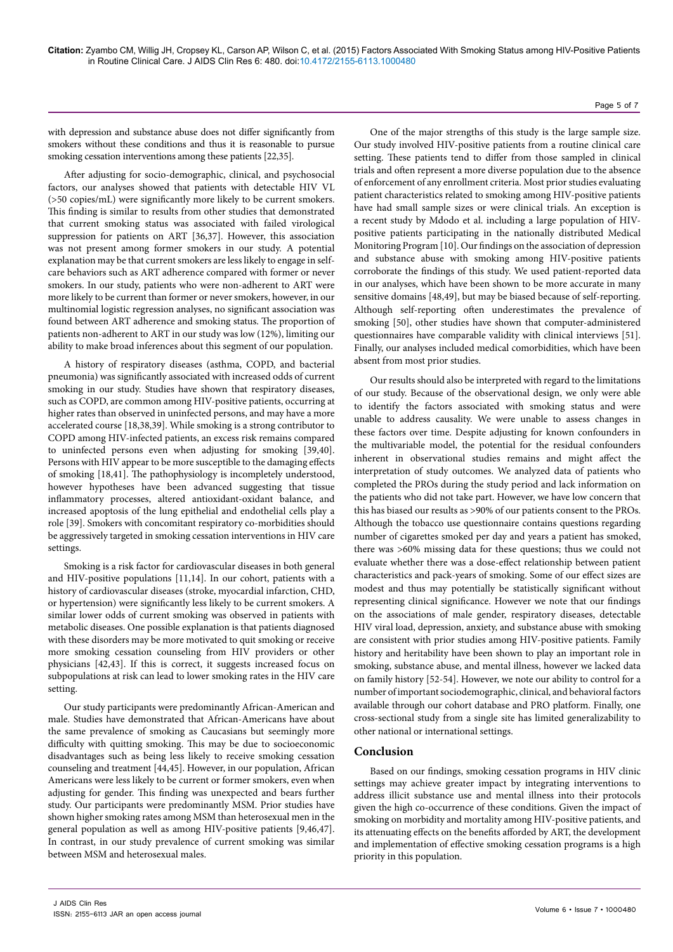### with depression and substance abuse does not differ significantly from smokers without these conditions and thus it is reasonable to pursue smoking cessation interventions among these patients [22,35].

After adjusting for socio-demographic, clinical, and psychosocial factors, our analyses showed that patients with detectable HIV VL (>50 copies/mL) were significantly more likely to be current smokers. This finding is similar to results from other studies that demonstrated that current smoking status was associated with failed virological suppression for patients on ART [36,37]. However, this association was not present among former smokers in our study. A potential explanation may be that current smokers are less likely to engage in selfcare behaviors such as ART adherence compared with former or never smokers. In our study, patients who were non-adherent to ART were more likely to be current than former or never smokers, however, in our multinomial logistic regression analyses, no significant association was found between ART adherence and smoking status. The proportion of patients non-adherent to ART in our study was low (12%), limiting our ability to make broad inferences about this segment of our population.

A history of respiratory diseases (asthma, COPD, and bacterial pneumonia) was significantly associated with increased odds of current smoking in our study. Studies have shown that respiratory diseases, such as COPD, are common among HIV-positive patients, occurring at higher rates than observed in uninfected persons, and may have a more accelerated course [18,38,39]. While smoking is a strong contributor to COPD among HIV-infected patients, an excess risk remains compared to uninfected persons even when adjusting for smoking [39,40]. Persons with HIV appear to be more susceptible to the damaging effects of smoking [18,41]. The pathophysiology is incompletely understood, however hypotheses have been advanced suggesting that tissue inflammatory processes, altered antioxidant-oxidant balance, and increased apoptosis of the lung epithelial and endothelial cells play a role [39]. Smokers with concomitant respiratory co-morbidities should be aggressively targeted in smoking cessation interventions in HIV care settings.

Smoking is a risk factor for cardiovascular diseases in both general and HIV-positive populations [11,14]. In our cohort, patients with a history of cardiovascular diseases (stroke, myocardial infarction, CHD, or hypertension) were significantly less likely to be current smokers. A similar lower odds of current smoking was observed in patients with metabolic diseases. One possible explanation is that patients diagnosed with these disorders may be more motivated to quit smoking or receive more smoking cessation counseling from HIV providers or other physicians [42,43]. If this is correct, it suggests increased focus on subpopulations at risk can lead to lower smoking rates in the HIV care setting.

Our study participants were predominantly African-American and male. Studies have demonstrated that African-Americans have about the same prevalence of smoking as Caucasians but seemingly more difficulty with quitting smoking. This may be due to socioeconomic disadvantages such as being less likely to receive smoking cessation counseling and treatment [44,45]. However, in our population, African Americans were less likely to be current or former smokers, even when adjusting for gender. This finding was unexpected and bears further study. Our participants were predominantly MSM. Prior studies have shown higher smoking rates among MSM than heterosexual men in the general population as well as among HIV-positive patients [9,46,47]. In contrast, in our study prevalence of current smoking was similar between MSM and heterosexual males.

One of the major strengths of this study is the large sample size. Our study involved HIV-positive patients from a routine clinical care setting. These patients tend to differ from those sampled in clinical trials and often represent a more diverse population due to the absence of enforcement of any enrollment criteria. Most prior studies evaluating patient characteristics related to smoking among HIV-positive patients have had small sample sizes or were clinical trials. An exception is a recent study by Mdodo et al. including a large population of HIVpositive patients participating in the nationally distributed Medical Monitoring Program [10]. Our findings on the association of depression and substance abuse with smoking among HIV-positive patients corroborate the findings of this study. We used patient-reported data in our analyses, which have been shown to be more accurate in many sensitive domains [48,49], but may be biased because of self-reporting. Although self-reporting often underestimates the prevalence of smoking [50], other studies have shown that computer-administered questionnaires have comparable validity with clinical interviews [51]. Finally, our analyses included medical comorbidities, which have been absent from most prior studies.

Our results should also be interpreted with regard to the limitations of our study. Because of the observational design, we only were able to identify the factors associated with smoking status and were unable to address causality. We were unable to assess changes in these factors over time. Despite adjusting for known confounders in the multivariable model, the potential for the residual confounders inherent in observational studies remains and might affect the interpretation of study outcomes. We analyzed data of patients who completed the PROs during the study period and lack information on the patients who did not take part. However, we have low concern that this has biased our results as >90% of our patients consent to the PROs. Although the tobacco use questionnaire contains questions regarding number of cigarettes smoked per day and years a patient has smoked, there was >60% missing data for these questions; thus we could not evaluate whether there was a dose-effect relationship between patient characteristics and pack-years of smoking. Some of our effect sizes are modest and thus may potentially be statistically significant without representing clinical significance. However we note that our findings on the associations of male gender, respiratory diseases, detectable HIV viral load, depression, anxiety, and substance abuse with smoking are consistent with prior studies among HIV-positive patients. Family history and heritability have been shown to play an important role in smoking, substance abuse, and mental illness, however we lacked data on family history [52-54]. However, we note our ability to control for a number of important sociodemographic, clinical, and behavioral factors available through our cohort database and PRO platform. Finally, one cross-sectional study from a single site has limited generalizability to other national or international settings.

# **Conclusion**

Based on our findings, smoking cessation programs in HIV clinic settings may achieve greater impact by integrating interventions to address illicit substance use and mental illness into their protocols given the high co-occurrence of these conditions. Given the impact of smoking on morbidity and mortality among HIV-positive patients, and its attenuating effects on the benefits afforded by ART, the development and implementation of effective smoking cessation programs is a high priority in this population.

#### Page 5 of 7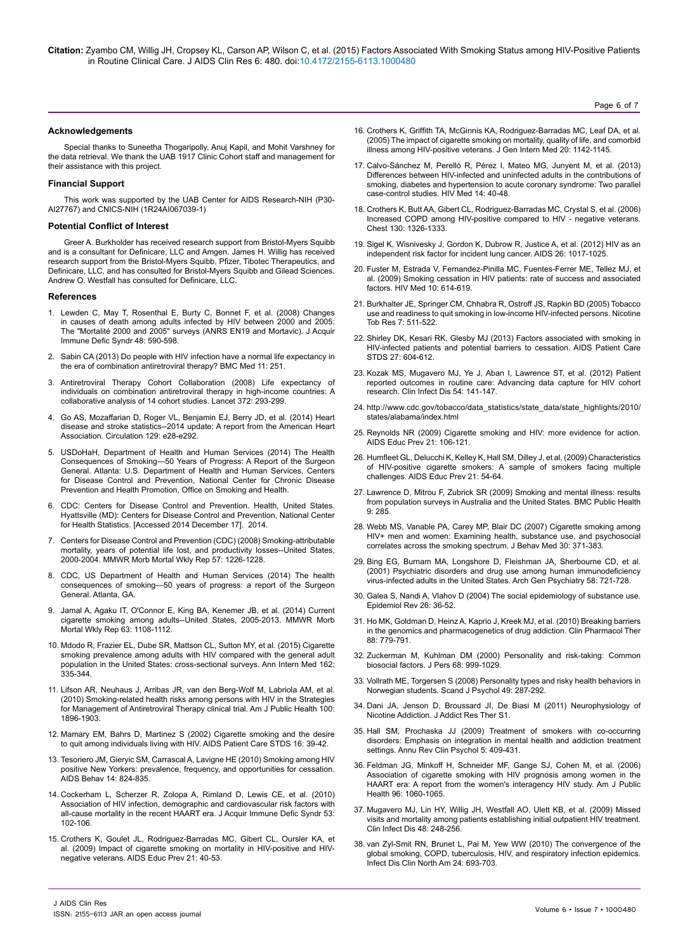Page 6 of 7

#### **Acknowledgements**

Special thanks to Suneetha Thogaripolly, Anuj Kapil, and Mohit Varshney for the data retrieval. We thank the UAB 1917 Clinic Cohort staff and management for their assistance with this project.

#### **Financial Support**

This work was supported by the UAB Center for AIDS Research-NIH (P30- AI27767) and CNICS-NIH (1R24AI067039-1)

#### **Potential Conflict of Interest**

Greer A. Burkholder has received research support from Bristol-Myers Squibb and is a consultant for Definicare, LLC and Amgen. James H. Willig has received research support from the Bristol-Myers Squibb, Pfizer, Tibotec Therapeutics, and Definicare, LLC, and has consulted for Bristol-Myers Squibb and Gilead Sciences. Andrew O. Westfall has consulted for Definicare, LLC.

#### **References**

- 1. [Lewden C, May T, Rosenthal E, Burty C, Bonnet F, et al. \(2008\) Changes](http://www.ncbi.nlm.nih.gov/pubmed/18645512) [in causes of death among adults infected by HIV between 2000 and 2005:](http://www.ncbi.nlm.nih.gov/pubmed/18645512) [The "Mortalité 2000 and 2005" surveys \(ANRS EN19 and Mortavic\). J Acquir](http://www.ncbi.nlm.nih.gov/pubmed/18645512) [Immune Defic Syndr 48: 590-598.](http://www.ncbi.nlm.nih.gov/pubmed/18645512)
- 2. [Sabin CA \(2013\) Do people with HIV infection have a normal life expectancy in](http://www.ncbi.nlm.nih.gov/pubmed/24283830) [the era of combination antiretroviral therapy? BMC Med 11: 251.](http://www.ncbi.nlm.nih.gov/pubmed/24283830)
- 3. [Antiretroviral Therapy Cohort Collaboration \(2008\) Life expectancy of](http://www.ncbi.nlm.nih.gov/pubmed/18657708) [individuals on combination antiretroviral therapy in high-income countries: A](http://www.ncbi.nlm.nih.gov/pubmed/18657708) [collaborative analysis of 14 cohort studies. Lancet 372: 293-299.](http://www.ncbi.nlm.nih.gov/pubmed/18657708)
- 4. [Go AS, Mozaffarian D, Roger VL, Benjamin EJ, Berry JD, et al. \(2014\) Heart](http://www.ncbi.nlm.nih.gov/pubmed/24352519) [disease and stroke statistics--2014 update: A report from the American Heart](http://www.ncbi.nlm.nih.gov/pubmed/24352519) [Association. Circulation 129: e28-e292.](http://www.ncbi.nlm.nih.gov/pubmed/24352519)
- 5. USDoHaH, Department of Health and Human Services (2014) The Health Consequences of Smoking—50 Years of Progress: A Report of the Surgeon General. Atlanta: U.S. Department of Health and Human Services, Centers for Disease Control and Prevention, National Center for Chronic Disease Prevention and Health Promotion, Office on Smoking and Health.
- 6. CDC: Centers for Disease Control and Prevention. Health, United States. Hyattsville (MD): Centers for Disease Control and Prevention, National Center for Health Statistics. [Accessed 2014 December 17]. 2014.
- 7. [Centers for Disease Control and Prevention \(CDC\) \(2008\) Smoking-attributable](http://www.ncbi.nlm.nih.gov/pubmed/19008791) [mortality, years of potential life lost, and productivity losses--United States,](http://www.ncbi.nlm.nih.gov/pubmed/19008791) [2000-2004. MMWR Morb Mortal Wkly Rep 57: 1226-1228.](http://www.ncbi.nlm.nih.gov/pubmed/19008791)
- 8. [CDC, US Department of Health and Human Services \(2014\) The health](http://www.surgeongeneral.gov/library/reports/50-years-of-progress/full-report.pdf) [consequences of smoking—50 years of progress: a report of the Surgeon](http://www.surgeongeneral.gov/library/reports/50-years-of-progress/full-report.pdf) [General. Atlanta, GA](http://www.surgeongeneral.gov/library/reports/50-years-of-progress/full-report.pdf).
- 9. [Jamal A, Agaku IT, O'Connor E, King BA, Kenemer JB, et al. \(2014\) Current](http://www.ncbi.nlm.nih.gov/pubmed/25426653) [cigarette smoking among adults--United States, 2005-2013. MMWR Morb](http://www.ncbi.nlm.nih.gov/pubmed/25426653) [Mortal Wkly Rep 63: 1108-1112.](http://www.ncbi.nlm.nih.gov/pubmed/25426653)
- 10. [Mdodo R, Frazier EL, Dube SR, Mattson CL, Sutton MY, et al. \(2015\) Cigarette](http://www.ncbi.nlm.nih.gov/pubmed/25732274) [smoking prevalence among adults with HIV compared with the general adult](http://www.ncbi.nlm.nih.gov/pubmed/25732274) [population in the United States: cross-sectional surveys. Ann Intern Med 162:](http://www.ncbi.nlm.nih.gov/pubmed/25732274) [335-344.](http://www.ncbi.nlm.nih.gov/pubmed/25732274)
- 11. [Lifson AR, Neuhaus J, Arribas JR, van den Berg-Wolf M, Labriola AM, et al.](http://www.ncbi.nlm.nih.gov/pubmed/20724677) [\(2010\) Smoking-related health risks among persons with HIV in the Strategies](http://www.ncbi.nlm.nih.gov/pubmed/20724677) [for Management of Antiretroviral Therapy clinical trial. Am J Public Health 100:](http://www.ncbi.nlm.nih.gov/pubmed/20724677) [1896-1903.](http://www.ncbi.nlm.nih.gov/pubmed/20724677)
- 12. [Mamary EM, Bahrs D, Martinez S \(2002\) Cigarette smoking and the desire](http://www.ncbi.nlm.nih.gov/pubmed/11839217) [to quit among individuals living with HIV. AIDS Patient Care STDS 16: 39-42.](http://www.ncbi.nlm.nih.gov/pubmed/11839217)
- 13. [Tesoriero JM, Gieryic SM, Carrascal A, Lavigne HE \(2010\) Smoking among HIV](http://www.ncbi.nlm.nih.gov/pubmed/18777131) [positive New Yorkers: prevalence, frequency, and opportunities for cessation.](http://www.ncbi.nlm.nih.gov/pubmed/18777131) [AIDS Behav 14: 824-835.](http://www.ncbi.nlm.nih.gov/pubmed/18777131)
- 14. [Cockerham L, Scherzer R, Zolopa A, Rimland D, Lewis CE, et al. \(2010\)](http://www.ncbi.nlm.nih.gov/pubmed/19738484) [Association of HIV infection, demographic and cardiovascular risk factors with](http://www.ncbi.nlm.nih.gov/pubmed/19738484) [all-cause mortality in the recent HAART era. J Acquir Immune Defic Syndr 53:](http://www.ncbi.nlm.nih.gov/pubmed/19738484) [102-106.](http://www.ncbi.nlm.nih.gov/pubmed/19738484)
- 15. Crothers K, Goulet JL, Rodriguez-Barradas MC, Gibert CL, Oursler KA, et al. (2009) Impact of cigarette smoking on mortality in HIV-positive and HIVnegative veterans. AIDS Educ Prev 21: 40-53.
- 16. Crothers K, Griffith TA, McGinnis KA, Rodriguez-Barradas MC, Leaf DA, et al. (2005) The impact of cigarette smoking on mortality, quality of life, and comorbid illness among HIV-positive veterans. J Gen Intern Med 20: 1142-1145.
- 17. [Calvo-Sánchez M, Perelló R, Pérez I, Mateo MG, Junyent M, et al. \(2013\)](http://www.ncbi.nlm.nih.gov/pubmed/23088307)  [Differences between HIV-infected and uninfected adults in the contributions of](http://www.ncbi.nlm.nih.gov/pubmed/23088307)  [smoking, diabetes and hypertension to acute coronary syndrome: Two parallel](http://www.ncbi.nlm.nih.gov/pubmed/23088307)  [case-control studies. HIV Med 14: 40-48.](http://www.ncbi.nlm.nih.gov/pubmed/23088307)
- 18. [Crothers K, Butt AA, Gibert CL, Rodriguez-Barradas MC, Crystal S, et al. \(2006\)](http://www.ncbi.nlm.nih.gov/pubmed/17099007)  [Increased COPD among HIV-positive compared to HIV - negative veterans.](http://www.ncbi.nlm.nih.gov/pubmed/17099007)  [Chest 130: 1326-1333.](http://www.ncbi.nlm.nih.gov/pubmed/17099007)
- 19. [Sigel K, Wisnivesky J, Gordon K, Dubrow R, Justice A, et al. \(2012\) HIV as an](http://www.ncbi.nlm.nih.gov/pubmed/22382152)  [independent risk factor for incident lung cancer. AIDS 26: 1017-1025.](http://www.ncbi.nlm.nih.gov/pubmed/22382152)
- 20. [Fuster M, Estrada V, Fernandez-Pinilla MC, Fuentes-Ferrer ME, Tellez MJ, et](http://www.ncbi.nlm.nih.gov/pubmed/19659946)  [al. \(2009\) Smoking cessation in HIV patients: rate of success and associated](http://www.ncbi.nlm.nih.gov/pubmed/19659946)  [factors. HIV Med 10: 614-619.](http://www.ncbi.nlm.nih.gov/pubmed/19659946)
- 21. [Burkhalter JE, Springer CM, Chhabra R, Ostroff JS, Rapkin BD \(2005\) Tobacco](http://www.ncbi.nlm.nih.gov/pubmed/16085522)  [use and readiness to quit smoking in low-income HIV-infected persons. Nicotine](http://www.ncbi.nlm.nih.gov/pubmed/16085522)  [Tob Res 7: 511-522.](http://www.ncbi.nlm.nih.gov/pubmed/16085522)
- 22. [Shirley DK, Kesari RK, Glesby MJ \(2013\) Factors associated with smoking in](http://www.ncbi.nlm.nih.gov/pubmed/24138488)  [HIV-infected patients and potential barriers to cessation. AIDS Patient Care](http://www.ncbi.nlm.nih.gov/pubmed/24138488)  [STDS 27: 604-612.](http://www.ncbi.nlm.nih.gov/pubmed/24138488)
- 23. [Kozak MS, Mugavero MJ, Ye J, Aban I, Lawrence ST, et al. \(2012\) Patient](http://www.ncbi.nlm.nih.gov/pubmed/22042879)  [reported outcomes in routine care: Advancing data capture for HIV cohort](http://www.ncbi.nlm.nih.gov/pubmed/22042879)  [research. Clin Infect Dis 54: 141-147.](http://www.ncbi.nlm.nih.gov/pubmed/22042879)
- 24. [http://www.cdc.gov/tobacco/data\\_statistics/state\\_data/state\\_highlights/2010/](http://www.cdc.gov/tobacco/data_statistics/state_data/state_highlights/2010/states/alabama/index.htm) [states/alabama/index.htm](http://www.cdc.gov/tobacco/data_statistics/state_data/state_highlights/2010/states/alabama/index.htm)l
- 25. [Reynolds NR \(2009\) Cigarette smoking and HIV: more evidence for action.](http://www.ncbi.nlm.nih.gov/pubmed/19537958)  [AIDS Educ Prev 21: 106-121.](http://www.ncbi.nlm.nih.gov/pubmed/19537958)
- 26. [Humfleet GL, Delucchi K, Kelley K, Hall SM, Dilley J, et al. \(2009\) Characteristics](http://www.ncbi.nlm.nih.gov/pubmed/19537954)  [of HIV-positive cigarette smokers: A sample of smokers facing multiple](http://www.ncbi.nlm.nih.gov/pubmed/19537954)  [challenges. AIDS Educ Prev 21: 54-64.](http://www.ncbi.nlm.nih.gov/pubmed/19537954)
- 27. [Lawrence D, Mitrou F, Zubrick SR \(2009\) Smoking and mental illness: results](http://www.ncbi.nlm.nih.gov/pubmed/19664203)  [from population surveys in Australia and the United States. BMC Public Health](http://www.ncbi.nlm.nih.gov/pubmed/19664203)  [9: 285.](http://www.ncbi.nlm.nih.gov/pubmed/19664203)
- 28. [Webb MS, Vanable PA, Carey MP, Blair DC \(2007\) Cigarette smoking among](http://www.ncbi.nlm.nih.gov/pubmed/17570050)  [HIV+ men and women: Examining health, substance use, and psychosocial](http://www.ncbi.nlm.nih.gov/pubmed/17570050)  [correlates across the smoking spectrum. J Behav Med 30: 371-383.](http://www.ncbi.nlm.nih.gov/pubmed/17570050)
- 29. [Bing EG, Burnam MA, Longshore D, Fleishman JA, Sherbourne CD, et al.](http://www.ncbi.nlm.nih.gov/pubmed/11483137)  [\(2001\) Psychiatric disorders and drug use among human immunodeficiency](http://www.ncbi.nlm.nih.gov/pubmed/11483137)  [virus-infected adults in the United States. Arch Gen Psychiatry 58: 721-728.](http://www.ncbi.nlm.nih.gov/pubmed/11483137)
- 30. [Galea S, Nandi A, Vlahov D \(2004\) The social epidemiology of substance use.](http://www.ncbi.nlm.nih.gov/pubmed/15234946)  [Epidemiol Rev 26: 36-52.](http://www.ncbi.nlm.nih.gov/pubmed/15234946)
- 31. [Ho MK, Goldman D, Heinz A, Kaprio J, Kreek MJ, et al. \(2010\) Breaking barriers](http://www.ncbi.nlm.nih.gov/pubmed/20981002)  [in the genomics and pharmacogenetics of drug addiction. Clin Pharmacol Ther](http://www.ncbi.nlm.nih.gov/pubmed/20981002)  [88: 779-791.](http://www.ncbi.nlm.nih.gov/pubmed/20981002)
- 32. [Zuckerman M, Kuhlman DM \(2000\) Personality and risk-taking: Common](http://www.ncbi.nlm.nih.gov/pubmed/11130742)  [biosocial factors. J Pers 68: 999-1029.](http://www.ncbi.nlm.nih.gov/pubmed/11130742)
- 33. [Vollrath ME, Torgersen S \(2008\) Personality types and risky health behaviors in](http://www.ncbi.nlm.nih.gov/pubmed/18419592)  [Norwegian students. Scand J Psychol 49: 287-292.](http://www.ncbi.nlm.nih.gov/pubmed/18419592)
- 34. [Dani JA, Jenson D, Broussard JI, De Biasi M \(2011\) Neurophysiology of](http://www.ncbi.nlm.nih.gov/pubmed/22454789)  [Nicotine Addiction. J Addict Res Ther S1.](http://www.ncbi.nlm.nih.gov/pubmed/22454789)
- 35. [Hall SM, Prochaska JJ \(2009\) Treatment of smokers with co-occurring](http://www.ncbi.nlm.nih.gov/pubmed/19327035)  [disorders: Emphasis on integration in mental health and addiction treatment](http://www.ncbi.nlm.nih.gov/pubmed/19327035)  [settings. Annu Rev Clin Psychol 5: 409-431.](http://www.ncbi.nlm.nih.gov/pubmed/19327035)
- 36. [Feldman JG, Minkoff H, Schneider MF, Gange SJ, Cohen M, et al. \(2006\)](http://www.ncbi.nlm.nih.gov/pubmed/16670229)  [Association of cigarette smoking with HIV prognosis among women in the](http://www.ncbi.nlm.nih.gov/pubmed/16670229)  [HAART era: A report from the women's interagency HIV study. Am J Public](http://www.ncbi.nlm.nih.gov/pubmed/16670229)  [Health 96: 1060-1065.](http://www.ncbi.nlm.nih.gov/pubmed/16670229)
- 37. [Mugavero MJ, Lin HY, Willig JH, Westfall AO, Ulett KB, et al. \(2009\) Missed](http://www.ncbi.nlm.nih.gov/pubmed/19072715)  [visits and mortality among patients establishing initial outpatient HIV treatment.](http://www.ncbi.nlm.nih.gov/pubmed/19072715)  [Clin Infect Dis 48: 248-256.](http://www.ncbi.nlm.nih.gov/pubmed/19072715)
- 38. [van Zyl-Smit RN, Brunet L, Pai M, Yew WW \(2010\) The convergence of the](http://www.ncbi.nlm.nih.gov/pubmed/20674799)  [global smoking, COPD, tuberculosis, HIV, and respiratory infection epidemics.](http://www.ncbi.nlm.nih.gov/pubmed/20674799)  [Infect Dis Clin North Am 24: 693-703.](http://www.ncbi.nlm.nih.gov/pubmed/20674799)